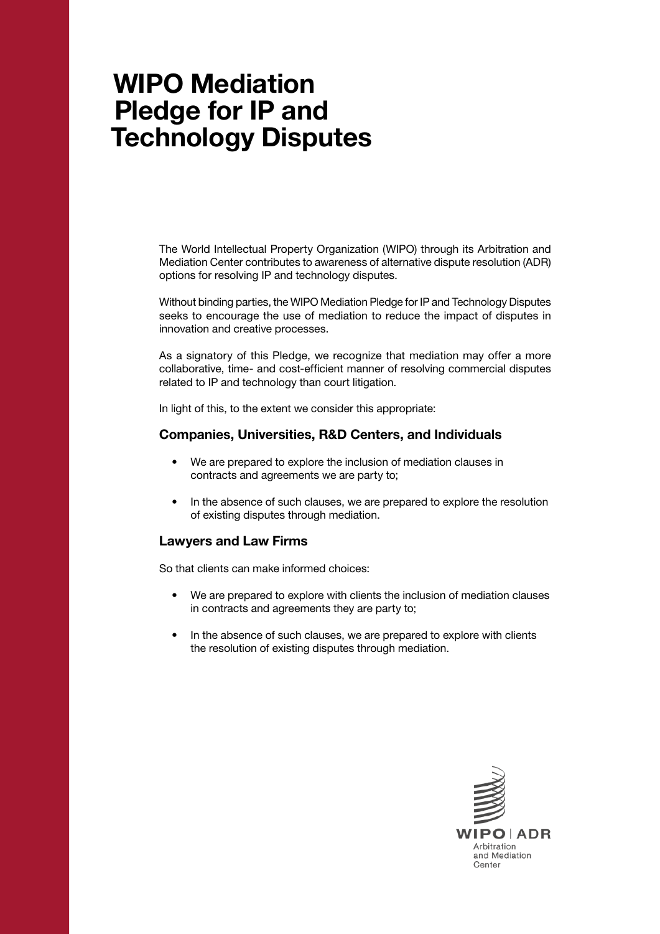## WIPO Mediation Pledge for IP and Technology Disputes

The World Intellectual Property Organization (WIPO) through its Arbitration and Mediation Center contributes to awareness of alternative dispute resolution (ADR) options for resolving IP and technology disputes.

Without binding parties, the WIPO Mediation Pledge for IP and Technology Disputes seeks to encourage the use of mediation to reduce the impact of disputes in innovation and creative processes.

As a signatory of this Pledge, we recognize that mediation may offer a more collaborative, time- and cost-efficient manner of resolving commercial disputes related to IP and technology than court litigation.

In light of this, to the extent we consider this appropriate:

## Companies, Universities, R&D Centers, and Individuals

- We are prepared to explore the inclusion of mediation clauses in contracts and agreements we are party to;
- In the absence of such clauses, we are prepared to explore the resolution of existing disputes through mediation.

## Lawyers and Law Firms

So that clients can make informed choices:

- We are prepared to explore with clients the inclusion of mediation clauses in contracts and agreements they are party to;
- In the absence of such clauses, we are prepared to explore with clients the resolution of existing disputes through mediation.